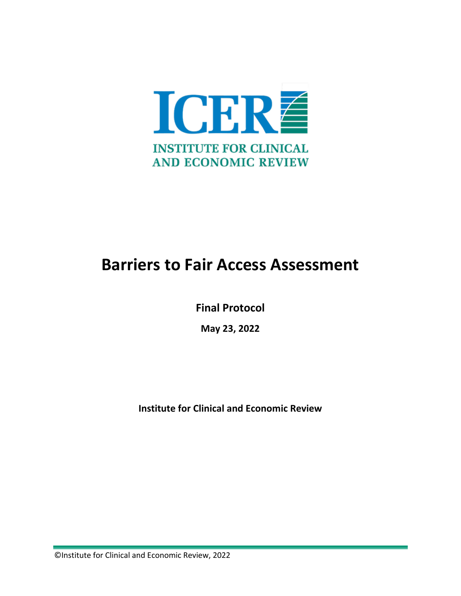

### **Barriers to Fair Access Assessment**

**Final Protocol**

**May 23, 2022** 

**Institute for Clinical and Economic Review**

©Institute for Clinical and Economic Review, 2022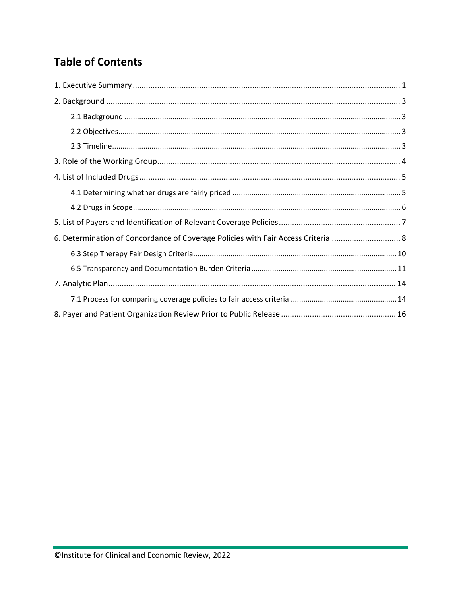### **Table of Contents**

| 6. Determination of Concordance of Coverage Policies with Fair Access Criteria  8 |  |
|-----------------------------------------------------------------------------------|--|
|                                                                                   |  |
|                                                                                   |  |
|                                                                                   |  |
|                                                                                   |  |
|                                                                                   |  |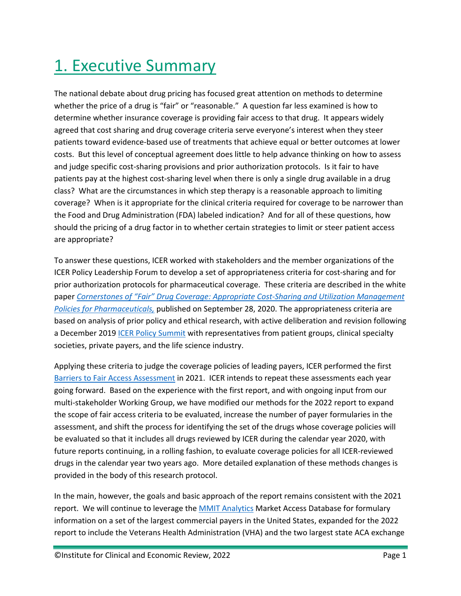## <span id="page-2-0"></span>1. Executive Summary

The national debate about drug pricing has focused great attention on methods to determine whether the price of a drug is "fair" or "reasonable." A question far less examined is how to determine whether insurance coverage is providing fair access to that drug. It appears widely agreed that cost sharing and drug coverage criteria serve everyone's interest when they steer patients toward evidence-based use of treatments that achieve equal or better outcomes at lower costs. But this level of conceptual agreement does little to help advance thinking on how to assess and judge specific cost-sharing provisions and prior authorization protocols. Is it fair to have patients pay at the highest cost-sharing level when there is only a single drug available in a drug class? What are the circumstances in which step therapy is a reasonable approach to limiting coverage? When is it appropriate for the clinical criteria required for coverage to be narrower than the Food and Drug Administration (FDA) labeled indication? And for all of these questions, how should the pricing of a drug factor in to whether certain strategies to limit or steer patient access are appropriate?

To answer these questions, ICER worked with stakeholders and the member organizations of the ICER Policy Leadership Forum to develop a set of appropriateness criteria for cost-sharing and for prior authorization protocols for pharmaceutical coverage. These criteria are described in the white paper *[Cornerstones of "Fair" Drug Coverage: Appropriate Cost-Sharing and Utilization Management](https://icer.org/wp-content/uploads/2020/11/Cornerstones-of-Fair-Drug-Coverage-_-September-28-2020-corrections-1-5-21.pdf)  [Policies for Pharmaceuticals,](https://icer.org/wp-content/uploads/2020/11/Cornerstones-of-Fair-Drug-Coverage-_-September-28-2020-corrections-1-5-21.pdf)* published on September 28, 2020. The appropriateness criteria are based on analysis of prior policy and ethical research, with active deliberation and revision following a December 2019 [ICER Policy Summit](https://icer-review.org/about/membership/) with representatives from patient groups, clinical specialty societies, private payers, and the life science industry.

Applying these criteria to judge the coverage policies of leading payers, ICER performed the first [Barriers to Fair Access Assessment](https://icer.org/wp-content/uploads/2021/05/Barriers-to-Fair-Access-Assessment-Final-Report-120121.pdf) in 2021. ICER intends to repeat these assessments each year going forward. Based on the experience with the first report, and with ongoing input from our multi-stakeholder Working Group, we have modified our methods for the 2022 report to expand the scope of fair access criteria to be evaluated, increase the number of payer formularies in the assessment, and shift the process for identifying the set of the drugs whose coverage policies will be evaluated so that it includes all drugs reviewed by ICER during the calendar year 2020, with future reports continuing, in a rolling fashion, to evaluate coverage policies for all ICER-reviewed drugs in the calendar year two years ago. More detailed explanation of these methods changes is provided in the body of this research protocol.

In the main, however, the goals and basic approach of the report remains consistent with the 2021 report. We will continue to leverage the **MMIT Analytics** Market Access Database for formulary information on a set of the largest commercial payers in the United States, expanded for the 2022 report to include the Veterans Health Administration (VHA) and the two largest state ACA exchange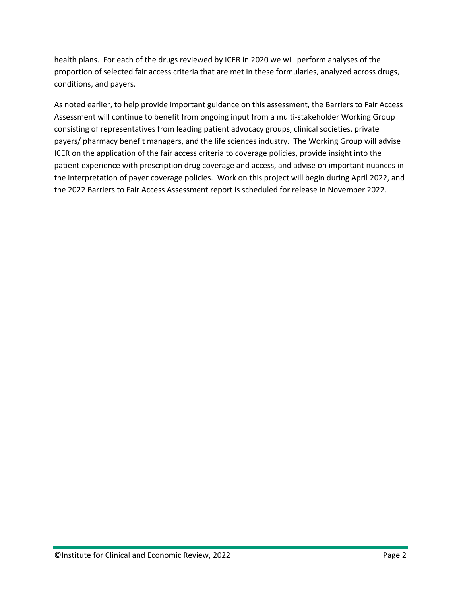health plans. For each of the drugs reviewed by ICER in 2020 we will perform analyses of the proportion of selected fair access criteria that are met in these formularies, analyzed across drugs, conditions, and payers.

As noted earlier, to help provide important guidance on this assessment, the Barriers to Fair Access Assessment will continue to benefit from ongoing input from a multi-stakeholder Working Group consisting of representatives from leading patient advocacy groups, clinical societies, private payers/ pharmacy benefit managers, and the life sciences industry. The Working Group will advise ICER on the application of the fair access criteria to coverage policies, provide insight into the patient experience with prescription drug coverage and access, and advise on important nuances in the interpretation of payer coverage policies. Work on this project will begin during April 2022, and the 2022 Barriers to Fair Access Assessment report is scheduled for release in November 2022.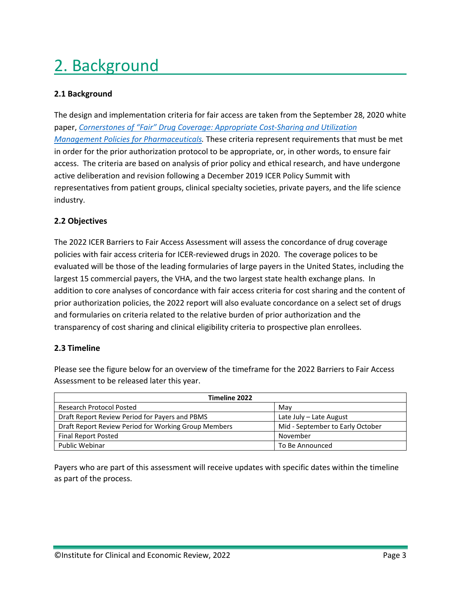# <span id="page-4-0"></span>2. Background

#### <span id="page-4-1"></span>**2.1 Background**

The design and implementation criteria for fair access are taken from the September 28, 2020 white paper, *[Cornerstones of "Fair" Drug Coverage: Appropriate Cost-Sharing and Utilization](https://icer.org/wp-content/uploads/2020/11/Cornerstones-of-Fair-Drug-Coverage-_-September-28-2020-corrections-1-5-21.pdf)  [Management Policies for Pharmaceuticals.](https://icer.org/wp-content/uploads/2020/11/Cornerstones-of-Fair-Drug-Coverage-_-September-28-2020-corrections-1-5-21.pdf)* These criteria represent requirements that must be met in order for the prior authorization protocol to be appropriate, or, in other words, to ensure fair access. The criteria are based on analysis of prior policy and ethical research, and have undergone active deliberation and revision following a December 2019 ICER Policy Summit with representatives from patient groups, clinical specialty societies, private payers, and the life science industry.

#### <span id="page-4-2"></span>**2.2 Objectives**

The 2022 ICER Barriers to Fair Access Assessment will assess the concordance of drug coverage policies with fair access criteria for ICER-reviewed drugs in 2020. The coverage polices to be evaluated will be those of the leading formularies of large payers in the United States, including the largest 15 commercial payers, the VHA, and the two largest state health exchange plans. In addition to core analyses of concordance with fair access criteria for cost sharing and the content of prior authorization policies, the 2022 report will also evaluate concordance on a select set of drugs and formularies on criteria related to the relative burden of prior authorization and the transparency of cost sharing and clinical eligibility criteria to prospective plan enrollees.

#### <span id="page-4-3"></span>**2.3 Timeline**

Please see the figure below for an overview of the timeframe for the 2022 Barriers to Fair Access Assessment to be released later this year.

| Timeline 2022                                        |                                  |  |  |
|------------------------------------------------------|----------------------------------|--|--|
| <b>Research Protocol Posted</b>                      | May                              |  |  |
| Draft Report Review Period for Payers and PBMS       | Late July - Late August          |  |  |
| Draft Report Review Period for Working Group Members | Mid - September to Early October |  |  |
| <b>Final Report Posted</b>                           | November                         |  |  |
| <b>Public Webinar</b>                                | To Be Announced                  |  |  |

Payers who are part of this assessment will receive updates with specific dates within the timeline as part of the process.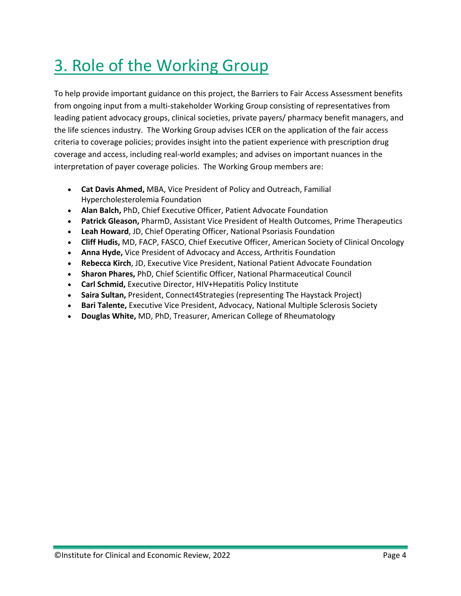### <span id="page-5-0"></span>3. Role of the Working Group

To help provide important guidance on this project, the Barriers to Fair Access Assessment benefits from ongoing input from a multi-stakeholder Working Group consisting of representatives from leading patient advocacy groups, clinical societies, private payers/ pharmacy benefit managers, and the life sciences industry. The Working Group advises ICER on the application of the fair access criteria to coverage policies; provides insight into the patient experience with prescription drug coverage and access, including real-world examples; and advises on important nuances in the interpretation of payer coverage policies. The Working Group members are:

- **Cat Davis Ahmed,** MBA, Vice President of Policy and Outreach, Familial Hypercholesterolemia Foundation
- **Alan Balch,** PhD, Chief Executive Officer, Patient Advocate Foundation
- **Patrick Gleason,** PharmD, Assistant Vice President of Health Outcomes, Prime Therapeutics
- **Leah Howard**, JD, Chief Operating Officer, National Psoriasis Foundation
- **Cliff Hudis,** MD, FACP, FASCO, Chief Executive Officer, American Society of Clinical Oncology
- **Anna Hyde,** Vice President of Advocacy and Access, Arthritis Foundation
- **Rebecca Kirch**, JD, Executive Vice President, National Patient Advocate Foundation
- **Sharon Phares,** PhD, Chief Scientific Officer, National Pharmaceutical Council
- **Carl Schmid,** Executive Director, HIV+Hepatitis Policy Institute
- **Saira Sultan,** President, Connect4Strategies (representing The Haystack Project)
- **Bari Talente,** Executive Vice President, Advocacy, National Multiple Sclerosis Society
- **Douglas White,** MD, PhD, Treasurer, American College of Rheumatology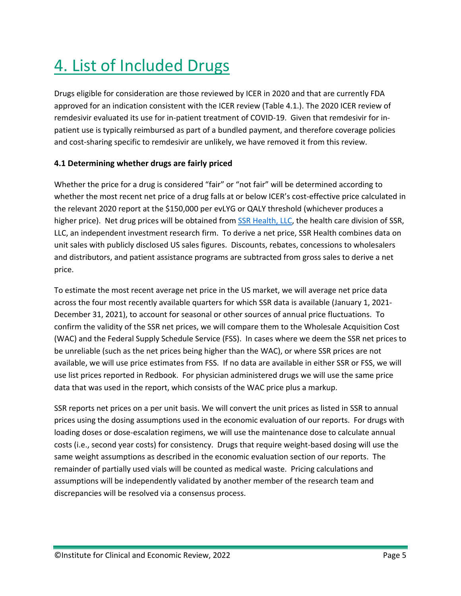# <span id="page-6-0"></span>4. List of Included Drugs

Drugs eligible for consideration are those reviewed by ICER in 2020 and that are currently FDA approved for an indication consistent with the ICER review (Table 4.1.). The 2020 ICER review of remdesivir evaluated its use for in-patient treatment of COVID-19. Given that remdesivir for inpatient use is typically reimbursed as part of a bundled payment, and therefore coverage policies and cost-sharing specific to remdesivir are unlikely, we have removed it from this review.

#### <span id="page-6-1"></span>**4.1 Determining whether drugs are fairly priced**

Whether the price for a drug is considered "fair" or "not fair" will be determined according to whether the most recent net price of a drug falls at or below ICER's cost-effective price calculated in the relevant 2020 report at the \$150,000 per evLYG or QALY threshold (whichever produces a higher price). Net drug prices will be obtained from [SSR Health, LLC,](https://www.ssrhealth.com/) the health care division of SSR, LLC, an independent investment research firm. To derive a net price, SSR Health combines data on unit sales with publicly disclosed US sales figures. Discounts, rebates, concessions to wholesalers and distributors, and patient assistance programs are subtracted from gross sales to derive a net price.

To estimate the most recent average net price in the US market, we will average net price data across the four most recently available quarters for which SSR data is available (January 1, 2021- December 31, 2021), to account for seasonal or other sources of annual price fluctuations. To confirm the validity of the SSR net prices, we will compare them to the Wholesale Acquisition Cost (WAC) and the Federal Supply Schedule Service (FSS). In cases where we deem the SSR net prices to be unreliable (such as the net prices being higher than the WAC), or where SSR prices are not available, we will use price estimates from FSS. If no data are available in either SSR or FSS, we will use list prices reported in Redbook. For physician administered drugs we will use the same price data that was used in the report, which consists of the WAC price plus a markup.

SSR reports net prices on a per unit basis. We will convert the unit prices as listed in SSR to annual prices using the dosing assumptions used in the economic evaluation of our reports. For drugs with loading doses or dose-escalation regimens, we will use the maintenance dose to calculate annual costs (i.e., second year costs) for consistency. Drugs that require weight-based dosing will use the same weight assumptions as described in the economic evaluation section of our reports. The remainder of partially used vials will be counted as medical waste. Pricing calculations and assumptions will be independently validated by another member of the research team and discrepancies will be resolved via a consensus process.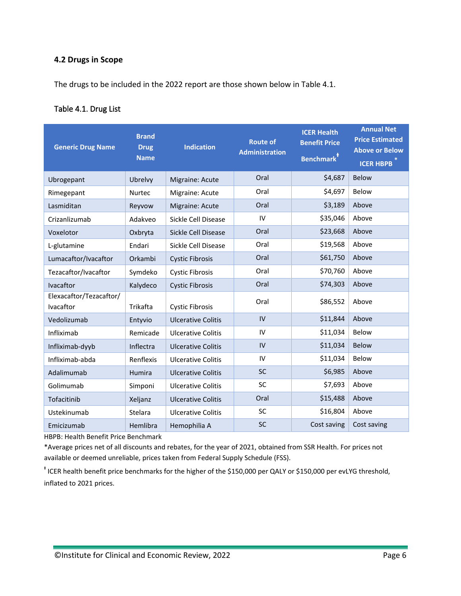#### <span id="page-7-0"></span>**4.2 Drugs in Scope**

The drugs to be included in the 2022 report are those shown below in Table 4.1.

#### Table 4.1. Drug List

| <b>Generic Drug Name</b>             | <b>Brand</b><br><b>Drug</b><br><b>Name</b> | <b>Indication</b>          | <b>Route of</b><br><b>Administration</b> | <b>ICER Health</b><br><b>Benefit Price</b><br><b>Benchmark</b> <sup>†</sup> | <b>Annual Net</b><br><b>Price Estimated</b><br><b>Above or Below</b><br><b>ICER HBPB</b> |
|--------------------------------------|--------------------------------------------|----------------------------|------------------------------------------|-----------------------------------------------------------------------------|------------------------------------------------------------------------------------------|
| Ubrogepant                           | Ubrelvy                                    | Migraine: Acute            | Oral                                     | \$4,687                                                                     | <b>Below</b>                                                                             |
| Rimegepant                           | <b>Nurtec</b>                              | Migraine: Acute            | Oral                                     | \$4,697                                                                     | Below                                                                                    |
| Lasmiditan                           | Reyvow                                     | Migraine: Acute            | Oral                                     | \$3,189                                                                     | Above                                                                                    |
| Crizanlizumab                        | Adakveo                                    | Sickle Cell Disease        | IV                                       | \$35,046                                                                    | Above                                                                                    |
| Voxelotor                            | Oxbryta                                    | <b>Sickle Cell Disease</b> | Oral                                     | \$23,668                                                                    | Above                                                                                    |
| L-glutamine                          | Endari                                     | Sickle Cell Disease        | Oral                                     | \$19,568                                                                    | Above                                                                                    |
| Lumacaftor/Ivacaftor                 | Orkambi                                    | <b>Cystic Fibrosis</b>     | Oral                                     | \$61,750                                                                    | Above                                                                                    |
| Tezacaftor/Ivacaftor                 | Symdeko                                    | <b>Cystic Fibrosis</b>     | Oral                                     | \$70,760                                                                    | Above                                                                                    |
| Ivacaftor                            | Kalydeco                                   | <b>Cystic Fibrosis</b>     | Oral                                     | \$74,303                                                                    | Above                                                                                    |
| Elexacaftor/Tezacaftor/<br>Ivacaftor | Trikafta                                   | <b>Cystic Fibrosis</b>     | Oral                                     | \$86,552                                                                    | Above                                                                                    |
| Vedolizumab                          | Entyvio                                    | <b>Ulcerative Colitis</b>  | IV                                       | \$11,844                                                                    | Above                                                                                    |
| Infliximab                           | Remicade                                   | <b>Ulcerative Colitis</b>  | IV                                       | \$11,034                                                                    | Below                                                                                    |
| Infliximab-dyyb                      | Inflectra                                  | <b>Ulcerative Colitis</b>  | IV                                       | \$11,034                                                                    | Below                                                                                    |
| Infliximab-abda                      | Renflexis                                  | <b>Ulcerative Colitis</b>  | IV                                       | \$11,034                                                                    | Below                                                                                    |
| Adalimumab                           | <b>Humira</b>                              | <b>Ulcerative Colitis</b>  | <b>SC</b>                                | \$6,985                                                                     | Above                                                                                    |
| Golimumab                            | Simponi                                    | <b>Ulcerative Colitis</b>  | SC                                       | \$7,693                                                                     | Above                                                                                    |
| Tofacitinib                          | Xeljanz                                    | <b>Ulcerative Colitis</b>  | Oral                                     | \$15,488                                                                    | Above                                                                                    |
| Ustekinumab                          | Stelara                                    | <b>Ulcerative Colitis</b>  | SC                                       | \$16,804                                                                    | Above                                                                                    |
| Emicizumab                           | Hemlibra                                   | Hemophilia A               | <b>SC</b>                                | Cost saving                                                                 | Cost saving                                                                              |

HBPB: Health Benefit Price Benchmark

\*Average prices net of all discounts and rebates, for the year of 2021, obtained from SSR Health. For prices not available or deemed unreliable, prices taken from Federal Supply Schedule (FSS).

ᵻ ICER health benefit price benchmarks for the higher of the \$150,000 per QALY or \$150,000 per evLYG threshold, inflated to 2021 prices.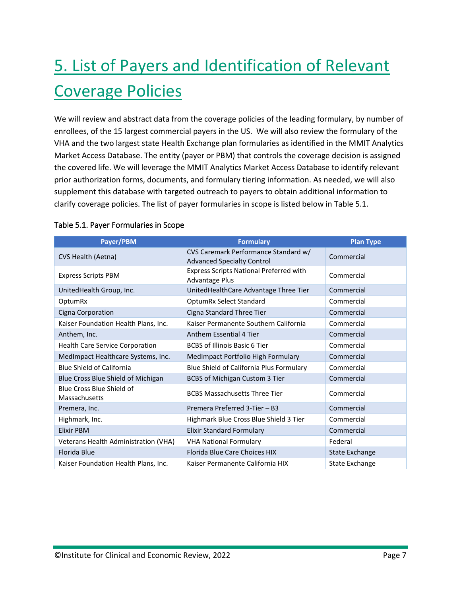# <span id="page-8-0"></span>5. List of Payers and Identification of Relevant Coverage Policies

We will review and abstract data from the coverage policies of the leading formulary, by number of enrollees, of the 15 largest commercial payers in the US. We will also review the formulary of the VHA and the two largest state Health Exchange plan formularies as identified in the MMIT Analytics Market Access Database. The entity (payer or PBM) that controls the coverage decision is assigned the covered life. We will leverage the MMIT Analytics Market Access Database to identify relevant prior authorization forms, documents, and formulary tiering information. As needed, we will also supplement this database with targeted outreach to payers to obtain additional information to clarify coverage policies. The list of payer formularies in scope is listed below in Table 5.1.

| Payer/PBM                                  | <b>Formulary</b>                                                          | <b>Plan Type</b>      |
|--------------------------------------------|---------------------------------------------------------------------------|-----------------------|
| CVS Health (Aetna)                         | CVS Caremark Performance Standard w/<br><b>Advanced Specialty Control</b> | Commercial            |
| <b>Express Scripts PBM</b>                 | <b>Express Scripts National Preferred with</b><br><b>Advantage Plus</b>   | Commercial            |
| UnitedHealth Group, Inc.                   | UnitedHealthCare Advantage Three Tier                                     | Commercial            |
| OptumRx                                    | OptumRx Select Standard                                                   | Commercial            |
| Cigna Corporation                          | Cigna Standard Three Tier                                                 | Commercial            |
| Kaiser Foundation Health Plans, Inc.       | Kaiser Permanente Southern California                                     | Commercial            |
| Anthem, Inc.                               | <b>Anthem Essential 4 Tier</b>                                            | Commercial            |
| <b>Health Care Service Corporation</b>     | <b>BCBS of Illinois Basic 6 Tier</b>                                      | Commercial            |
| MedImpact Healthcare Systems, Inc.         | MedImpact Portfolio High Formulary                                        | Commercial            |
| Blue Shield of California                  | Blue Shield of California Plus Formulary                                  | Commercial            |
| Blue Cross Blue Shield of Michigan         | BCBS of Michigan Custom 3 Tier                                            | Commercial            |
| Blue Cross Blue Shield of<br>Massachusetts | <b>BCBS Massachusetts Three Tier</b>                                      | Commercial            |
| Premera, Inc.                              | Premera Preferred 3-Tier - B3                                             | Commercial            |
| Highmark, Inc.                             | Highmark Blue Cross Blue Shield 3 Tier                                    | Commercial            |
| <b>Elixir PBM</b>                          | <b>Elixir Standard Formulary</b>                                          | Commercial            |
| Veterans Health Administration (VHA)       | <b>VHA National Formulary</b>                                             | Federal               |
| Florida Blue                               | Florida Blue Care Choices HIX                                             | <b>State Exchange</b> |
| Kaiser Foundation Health Plans, Inc.       | Kaiser Permanente California HIX                                          | State Exchange        |

#### Table 5.1. Payer Formularies in Scope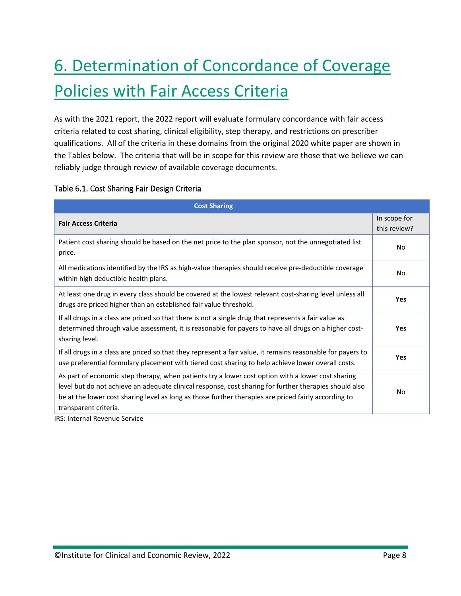# <span id="page-9-0"></span>6. Determination of Concordance of Coverage Policies with Fair Access Criteria

As with the 2021 report, the 2022 report will evaluate formulary concordance with fair access criteria related to cost sharing, clinical eligibility, step therapy, and restrictions on prescriber qualifications. All of the criteria in these domains from the original 2020 white paper are shown in the Tables below. The criteria that will be in scope for this review are those that we believe we can reliably judge through review of available coverage documents.

#### Table 6.1. Cost Sharing Fair Design Criteria

| <b>Cost Sharing</b>                                                                                                                                                                                                                                                                                                                          |                              |
|----------------------------------------------------------------------------------------------------------------------------------------------------------------------------------------------------------------------------------------------------------------------------------------------------------------------------------------------|------------------------------|
| <b>Fair Access Criteria</b>                                                                                                                                                                                                                                                                                                                  | In scope for<br>this review? |
| Patient cost sharing should be based on the net price to the plan sponsor, not the unnegotiated list<br>price.                                                                                                                                                                                                                               | No.                          |
| All medications identified by the IRS as high-value therapies should receive pre-deductible coverage<br>within high deductible health plans.                                                                                                                                                                                                 | No                           |
| At least one drug in every class should be covered at the lowest relevant cost-sharing level unless all<br>drugs are priced higher than an established fair value threshold.                                                                                                                                                                 | <b>Yes</b>                   |
| If all drugs in a class are priced so that there is not a single drug that represents a fair value as<br>determined through value assessment, it is reasonable for payers to have all drugs on a higher cost-<br>sharing level.                                                                                                              | <b>Yes</b>                   |
| If all drugs in a class are priced so that they represent a fair value, it remains reasonable for payers to<br>use preferential formulary placement with tiered cost sharing to help achieve lower overall costs.                                                                                                                            | <b>Yes</b>                   |
| As part of economic step therapy, when patients try a lower cost option with a lower cost sharing<br>level but do not achieve an adequate clinical response, cost sharing for further therapies should also<br>be at the lower cost sharing level as long as those further therapies are priced fairly according to<br>transparent criteria. | No                           |

IRS: Internal Revenue Service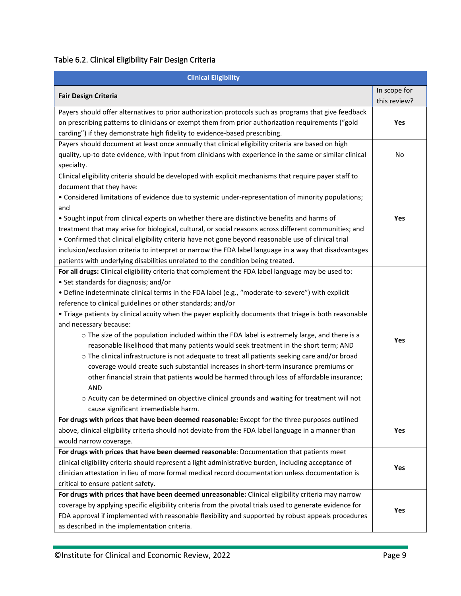#### Table 6.2. Clinical Eligibility Fair Design Criteria

| <b>Clinical Eligibility</b>                                                                              |              |
|----------------------------------------------------------------------------------------------------------|--------------|
| <b>Fair Design Criteria</b>                                                                              | In scope for |
|                                                                                                          | this review? |
| Payers should offer alternatives to prior authorization protocols such as programs that give feedback    |              |
| on prescribing patterns to clinicians or exempt them from prior authorization requirements ("gold        | Yes          |
| carding") if they demonstrate high fidelity to evidence-based prescribing.                               |              |
| Payers should document at least once annually that clinical eligibility criteria are based on high       |              |
| quality, up-to date evidence, with input from clinicians with experience in the same or similar clinical | No           |
| specialty.                                                                                               |              |
| Clinical eligibility criteria should be developed with explicit mechanisms that require payer staff to   |              |
| document that they have:                                                                                 |              |
| • Considered limitations of evidence due to systemic under-representation of minority populations;       |              |
| and                                                                                                      |              |
| • Sought input from clinical experts on whether there are distinctive benefits and harms of              | Yes          |
| treatment that may arise for biological, cultural, or social reasons across different communities; and   |              |
| • Confirmed that clinical eligibility criteria have not gone beyond reasonable use of clinical trial     |              |
| inclusion/exclusion criteria to interpret or narrow the FDA label language in a way that disadvantages   |              |
| patients with underlying disabilities unrelated to the condition being treated.                          |              |
| For all drugs: Clinical eligibility criteria that complement the FDA label language may be used to:      |              |
| • Set standards for diagnosis; and/or                                                                    |              |
| • Define indeterminate clinical terms in the FDA label (e.g., "moderate-to-severe") with explicit        |              |
| reference to clinical guidelines or other standards; and/or                                              |              |
| . Triage patients by clinical acuity when the payer explicitly documents that triage is both reasonable  |              |
| and necessary because:                                                                                   |              |
| o The size of the population included within the FDA label is extremely large, and there is a            |              |
| reasonable likelihood that many patients would seek treatment in the short term; AND                     | Yes          |
| o The clinical infrastructure is not adequate to treat all patients seeking care and/or broad            |              |
| coverage would create such substantial increases in short-term insurance premiums or                     |              |
| other financial strain that patients would be harmed through loss of affordable insurance;               |              |
| <b>AND</b>                                                                                               |              |
| o Acuity can be determined on objective clinical grounds and waiting for treatment will not              |              |
| cause significant irremediable harm.                                                                     |              |
| For drugs with prices that have been deemed reasonable: Except for the three purposes outlined           |              |
| above, clinical eligibility criteria should not deviate from the FDA label language in a manner than     | Yes          |
| would narrow coverage.                                                                                   |              |
| For drugs with prices that have been deemed reasonable: Documentation that patients meet                 |              |
| clinical eligibility criteria should represent a light administrative burden, including acceptance of    |              |
| clinician attestation in lieu of more formal medical record documentation unless documentation is        | Yes          |
| critical to ensure patient safety.                                                                       |              |
| For drugs with prices that have been deemed unreasonable: Clinical eligibility criteria may narrow       |              |
| coverage by applying specific eligibility criteria from the pivotal trials used to generate evidence for |              |
| FDA approval if implemented with reasonable flexibility and supported by robust appeals procedures       | Yes          |
| as described in the implementation criteria.                                                             |              |

 $\sim$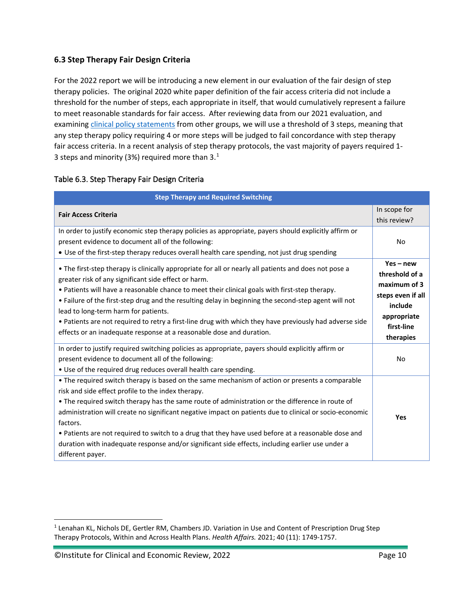#### <span id="page-11-0"></span>**6.3 Step Therapy Fair Design Criteria**

For the 2022 report we will be introducing a new element in our evaluation of the fair design of step therapy policies. The original 2020 white paper definition of the fair access criteria did not include a threshold for the number of steps, each appropriate in itself, that would cumulatively represent a failure to meet reasonable standards for fair access. After reviewing data from our 2021 evaluation, and examinin[g clinical policy statements](https://healthcareinsider.com/step-therapy-57361#:%7E:text=Step%20therapy%20requirements%20may%20depend,the%20most%20expensive%20medications%20covered) from other groups, we will use a threshold of 3 steps, meaning that any step therapy policy requiring 4 or more steps will be judged to fail concordance with step therapy fair access criteria. In a recent analysis of step therapy protocols, the vast majority of payers required 1- 3 steps and minority (3%) required more than 3. $^{1}$  $^{1}$  $^{1}$ 

| <b>Step Therapy and Required Switching</b>                                                                                                                                                                                                                                                                                                                                                                                                                                                                                                                                                                      |                                                                                                                         |
|-----------------------------------------------------------------------------------------------------------------------------------------------------------------------------------------------------------------------------------------------------------------------------------------------------------------------------------------------------------------------------------------------------------------------------------------------------------------------------------------------------------------------------------------------------------------------------------------------------------------|-------------------------------------------------------------------------------------------------------------------------|
| <b>Fair Access Criteria</b>                                                                                                                                                                                                                                                                                                                                                                                                                                                                                                                                                                                     | In scope for<br>this review?                                                                                            |
| In order to justify economic step therapy policies as appropriate, payers should explicitly affirm or<br>present evidence to document all of the following:<br>. Use of the first-step therapy reduces overall health care spending, not just drug spending                                                                                                                                                                                                                                                                                                                                                     | No.                                                                                                                     |
| • The first-step therapy is clinically appropriate for all or nearly all patients and does not pose a<br>greater risk of any significant side effect or harm.<br>• Patients will have a reasonable chance to meet their clinical goals with first-step therapy.<br>• Failure of the first-step drug and the resulting delay in beginning the second-step agent will not<br>lead to long-term harm for patients.<br>• Patients are not required to retry a first-line drug with which they have previously had adverse side<br>effects or an inadequate response at a reasonable dose and duration.              | $Yes - new$<br>threshold of a<br>maximum of 3<br>steps even if all<br>include<br>appropriate<br>first-line<br>therapies |
| In order to justify required switching policies as appropriate, payers should explicitly affirm or<br>present evidence to document all of the following:<br>. Use of the required drug reduces overall health care spending.                                                                                                                                                                                                                                                                                                                                                                                    | No.                                                                                                                     |
| • The required switch therapy is based on the same mechanism of action or presents a comparable<br>risk and side effect profile to the index therapy.<br>• The required switch therapy has the same route of administration or the difference in route of<br>administration will create no significant negative impact on patients due to clinical or socio-economic<br>factors.<br>• Patients are not required to switch to a drug that they have used before at a reasonable dose and<br>duration with inadequate response and/or significant side effects, including earlier use under a<br>different payer. | <b>Yes</b>                                                                                                              |

#### Table 6.3. Step Therapy Fair Design Criteria

<span id="page-11-1"></span><sup>&</sup>lt;sup>1</sup> Lenahan KL, Nichols DE, Gertler RM, Chambers JD. Variation in Use and Content of Prescription Drug Step Therapy Protocols, Within and Across Health Plans. *Health Affairs.* 2021; 40 (11): 1749-1757.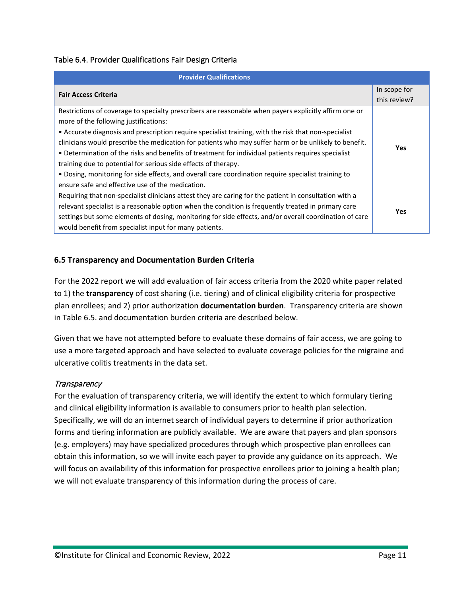#### Table 6.4. Provider Qualifications Fair Design Criteria

| <b>Provider Qualifications</b>                                                                         |              |
|--------------------------------------------------------------------------------------------------------|--------------|
| <b>Fair Access Criteria</b>                                                                            | In scope for |
|                                                                                                        | this review? |
| Restrictions of coverage to specialty prescribers are reasonable when payers explicitly affirm one or  |              |
| more of the following justifications:                                                                  |              |
| • Accurate diagnosis and prescription require specialist training, with the risk that non-specialist   |              |
| clinicians would prescribe the medication for patients who may suffer harm or be unlikely to benefit.  | <b>Yes</b>   |
| • Determination of the risks and benefits of treatment for individual patients requires specialist     |              |
| training due to potential for serious side effects of therapy.                                         |              |
| . Dosing, monitoring for side effects, and overall care coordination require specialist training to    |              |
| ensure safe and effective use of the medication.                                                       |              |
| Requiring that non-specialist clinicians attest they are caring for the patient in consultation with a |              |
| relevant specialist is a reasonable option when the condition is frequently treated in primary care    | <b>Yes</b>   |
| settings but some elements of dosing, monitoring for side effects, and/or overall coordination of care |              |
| would benefit from specialist input for many patients.                                                 |              |

#### <span id="page-12-0"></span>**6.5 Transparency and Documentation Burden Criteria**

For the 2022 report we will add evaluation of fair access criteria from the 2020 white paper related to 1) the **transparency** of cost sharing (i.e. tiering) and of clinical eligibility criteria for prospective plan enrollees; and 2) prior authorization **documentation burden**. Transparency criteria are shown in Table 6.5. and documentation burden criteria are described below.

Given that we have not attempted before to evaluate these domains of fair access, we are going to use a more targeted approach and have selected to evaluate coverage policies for the migraine and ulcerative colitis treatments in the data set.

#### **Transparency**

For the evaluation of transparency criteria, we will identify the extent to which formulary tiering and clinical eligibility information is available to consumers prior to health plan selection. Specifically, we will do an internet search of individual payers to determine if prior authorization forms and tiering information are publicly available. We are aware that payers and plan sponsors (e.g. employers) may have specialized procedures through which prospective plan enrollees can obtain this information, so we will invite each payer to provide any guidance on its approach. We will focus on availability of this information for prospective enrollees prior to joining a health plan; we will not evaluate transparency of this information during the process of care.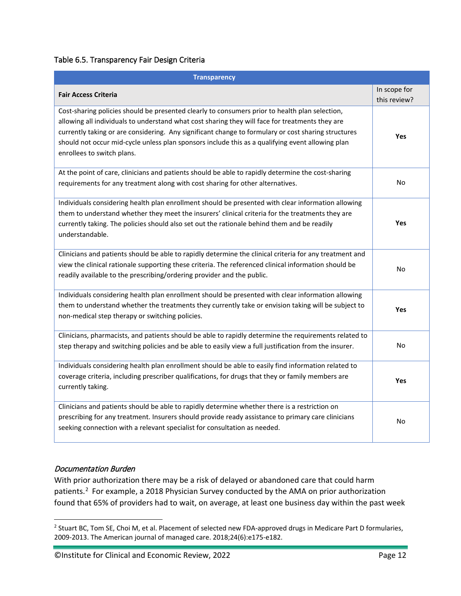#### Table 6.5. Transparency Fair Design Criteria

| <b>Transparency</b>                                                                                                                                                                                                                                                                                                                                                                                                                        |                              |
|--------------------------------------------------------------------------------------------------------------------------------------------------------------------------------------------------------------------------------------------------------------------------------------------------------------------------------------------------------------------------------------------------------------------------------------------|------------------------------|
| <b>Fair Access Criteria</b>                                                                                                                                                                                                                                                                                                                                                                                                                | In scope for<br>this review? |
| Cost-sharing policies should be presented clearly to consumers prior to health plan selection,<br>allowing all individuals to understand what cost sharing they will face for treatments they are<br>currently taking or are considering. Any significant change to formulary or cost sharing structures<br>should not occur mid-cycle unless plan sponsors include this as a qualifying event allowing plan<br>enrollees to switch plans. | Yes                          |
| At the point of care, clinicians and patients should be able to rapidly determine the cost-sharing<br>requirements for any treatment along with cost sharing for other alternatives.                                                                                                                                                                                                                                                       | No                           |
| Individuals considering health plan enrollment should be presented with clear information allowing<br>them to understand whether they meet the insurers' clinical criteria for the treatments they are<br>currently taking. The policies should also set out the rationale behind them and be readily<br>understandable.                                                                                                                   | Yes                          |
| Clinicians and patients should be able to rapidly determine the clinical criteria for any treatment and<br>view the clinical rationale supporting these criteria. The referenced clinical information should be<br>readily available to the prescribing/ordering provider and the public.                                                                                                                                                  | No                           |
| Individuals considering health plan enrollment should be presented with clear information allowing<br>them to understand whether the treatments they currently take or envision taking will be subject to<br>non-medical step therapy or switching policies.                                                                                                                                                                               | Yes                          |
| Clinicians, pharmacists, and patients should be able to rapidly determine the requirements related to<br>step therapy and switching policies and be able to easily view a full justification from the insurer.                                                                                                                                                                                                                             | No                           |
| Individuals considering health plan enrollment should be able to easily find information related to<br>coverage criteria, including prescriber qualifications, for drugs that they or family members are<br>currently taking.                                                                                                                                                                                                              | Yes                          |
| Clinicians and patients should be able to rapidly determine whether there is a restriction on<br>prescribing for any treatment. Insurers should provide ready assistance to primary care clinicians<br>seeking connection with a relevant specialist for consultation as needed.                                                                                                                                                           | No                           |

#### Documentation Burden

With prior authorization there may be a risk of delayed or abandoned care that could harm patients.<sup>[2](#page-13-0)</sup> For example, a 2018 Physician Survey conducted by the AMA on prior authorization found that 65% of providers had to wait, on average, at least one business day within the past week

<span id="page-13-0"></span><sup>&</sup>lt;sup>2</sup> Stuart BC, Tom SE, Choi M, et al. Placement of selected new FDA-approved drugs in Medicare Part D formularies, 2009-2013. The American journal of managed care. 2018;24(6):e175-e182.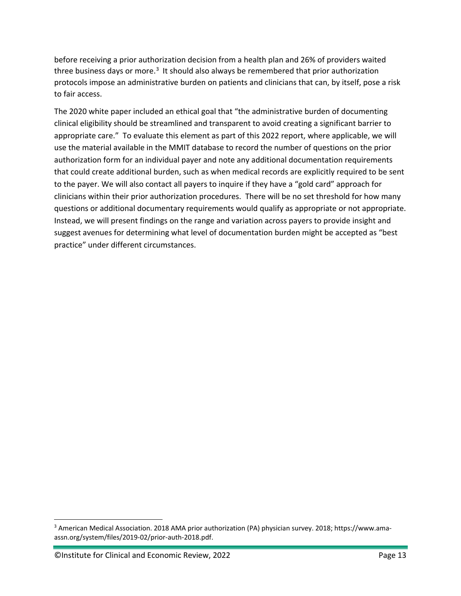before receiving a prior authorization decision from a health plan and 26% of providers waited three business days or more.<sup>[3](#page-14-0)</sup> It should also always be remembered that prior authorization protocols impose an administrative burden on patients and clinicians that can, by itself, pose a risk to fair access.

The 2020 white paper included an ethical goal that "the administrative burden of documenting clinical eligibility should be streamlined and transparent to avoid creating a significant barrier to appropriate care." To evaluate this element as part of this 2022 report, where applicable, we will use the material available in the MMIT database to record the number of questions on the prior authorization form for an individual payer and note any additional documentation requirements that could create additional burden, such as when medical records are explicitly required to be sent to the payer. We will also contact all payers to inquire if they have a "gold card" approach for clinicians within their prior authorization procedures. There will be no set threshold for how many questions or additional documentary requirements would qualify as appropriate or not appropriate. Instead, we will present findings on the range and variation across payers to provide insight and suggest avenues for determining what level of documentation burden might be accepted as "best practice" under different circumstances.

<span id="page-14-0"></span><sup>3</sup> American Medical Association. 2018 AMA prior authorization (PA) physician survey. 2018; https://www.amaassn.org/system/files/2019-02/prior-auth-2018.pdf.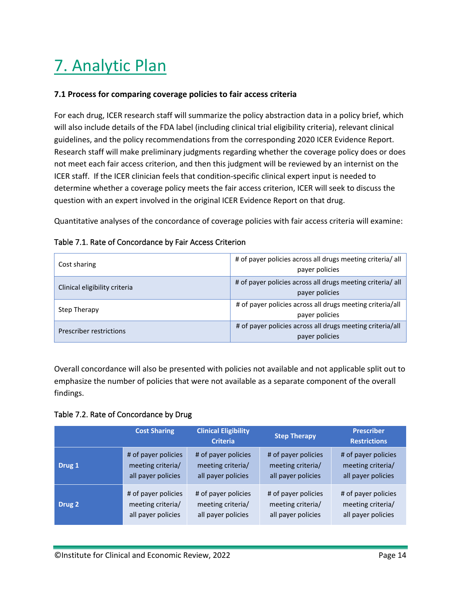# <span id="page-15-0"></span>7. Analytic Plan

#### <span id="page-15-1"></span>**7.1 Process for comparing coverage policies to fair access criteria**

For each drug, ICER research staff will summarize the policy abstraction data in a policy brief, which will also include details of the FDA label (including clinical trial eligibility criteria), relevant clinical guidelines, and the policy recommendations from the corresponding 2020 ICER Evidence Report. Research staff will make preliminary judgments regarding whether the coverage policy does or does not meet each fair access criterion, and then this judgment will be reviewed by an internist on the ICER staff. If the ICER clinician feels that condition-specific clinical expert input is needed to determine whether a coverage policy meets the fair access criterion, ICER will seek to discuss the question with an expert involved in the original ICER Evidence Report on that drug.

Quantitative analyses of the concordance of coverage policies with fair access criteria will examine:

| Cost sharing                  | # of payer policies across all drugs meeting criteria/ all<br>payer policies |  |
|-------------------------------|------------------------------------------------------------------------------|--|
| Clinical eligibility criteria | # of payer policies across all drugs meeting criteria/ all<br>payer policies |  |
| Step Therapy                  | # of payer policies across all drugs meeting criteria/all<br>payer policies  |  |
| Prescriber restrictions       | # of payer policies across all drugs meeting criteria/all<br>payer policies  |  |

#### Table 7.1. Rate of Concordance by Fair Access Criterion

Overall concordance will also be presented with policies not available and not applicable split out to emphasize the number of policies that were not available as a separate component of the overall findings.

Table 7.2. Rate of Concordance by Drug

|        | <b>Cost Sharing</b> | <b>Clinical Eligibility</b><br><b>Criteria</b> | <b>Step Therapy</b> | <b>Prescriber</b><br><b>Restrictions</b> |
|--------|---------------------|------------------------------------------------|---------------------|------------------------------------------|
| Drug 1 | # of payer policies | # of payer policies                            | # of payer policies | # of payer policies                      |
|        | meeting criteria/   | meeting criteria/                              | meeting criteria/   | meeting criteria/                        |
|        | all payer policies  | all payer policies                             | all payer policies  | all payer policies                       |
| Drug 2 | # of payer policies | # of payer policies                            | # of payer policies | # of payer policies                      |
|        | meeting criteria/   | meeting criteria/                              | meeting criteria/   | meeting criteria/                        |
|        | all payer policies  | all payer policies                             | all payer policies  | all payer policies                       |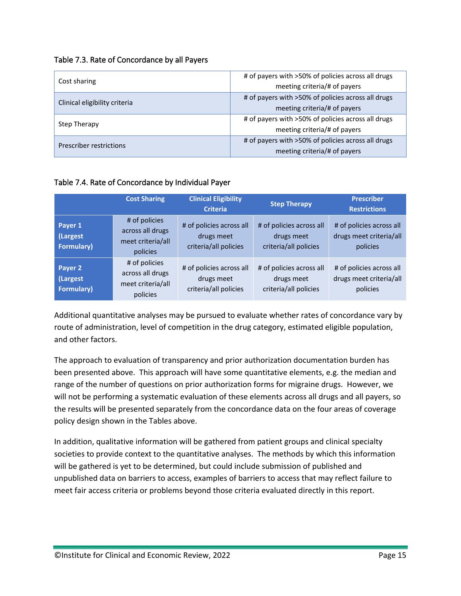|  | Table 7.3. Rate of Concordance by all Payers |  |
|--|----------------------------------------------|--|
|--|----------------------------------------------|--|

| Cost sharing                  | # of payers with >50% of policies across all drugs<br>meeting criteria/# of payers |  |
|-------------------------------|------------------------------------------------------------------------------------|--|
| Clinical eligibility criteria | # of payers with >50% of policies across all drugs<br>meeting criteria/# of payers |  |
| Step Therapy                  | # of payers with >50% of policies across all drugs<br>meeting criteria/# of payers |  |
| Prescriber restrictions       | # of payers with >50% of policies across all drugs<br>meeting criteria/# of payers |  |

#### Table 7.4. Rate of Concordance by Individual Payer

|                                          | <b>Cost Sharing</b>                                                | <b>Clinical Eligibility</b><br><b>Criteria</b>                  | <b>Step Therapy</b>                                             | <b>Prescriber</b><br><b>Restrictions</b>                        |
|------------------------------------------|--------------------------------------------------------------------|-----------------------------------------------------------------|-----------------------------------------------------------------|-----------------------------------------------------------------|
| Payer 1<br>(Largest<br><b>Formulary)</b> | # of policies<br>across all drugs<br>meet criteria/all<br>policies | # of policies across all<br>drugs meet<br>criteria/all policies | # of policies across all<br>drugs meet<br>criteria/all policies | # of policies across all<br>drugs meet criteria/all<br>policies |
| Payer 2<br>(Largest<br><b>Formulary)</b> | # of policies<br>across all drugs<br>meet criteria/all<br>policies | # of policies across all<br>drugs meet<br>criteria/all policies | # of policies across all<br>drugs meet<br>criteria/all policies | # of policies across all<br>drugs meet criteria/all<br>policies |

Additional quantitative analyses may be pursued to evaluate whether rates of concordance vary by route of administration, level of competition in the drug category, estimated eligible population, and other factors.

The approach to evaluation of transparency and prior authorization documentation burden has been presented above. This approach will have some quantitative elements, e.g. the median and range of the number of questions on prior authorization forms for migraine drugs. However, we will not be performing a systematic evaluation of these elements across all drugs and all payers, so the results will be presented separately from the concordance data on the four areas of coverage policy design shown in the Tables above.

In addition, qualitative information will be gathered from patient groups and clinical specialty societies to provide context to the quantitative analyses. The methods by which this information will be gathered is yet to be determined, but could include submission of published and unpublished data on barriers to access, examples of barriers to access that may reflect failure to meet fair access criteria or problems beyond those criteria evaluated directly in this report.